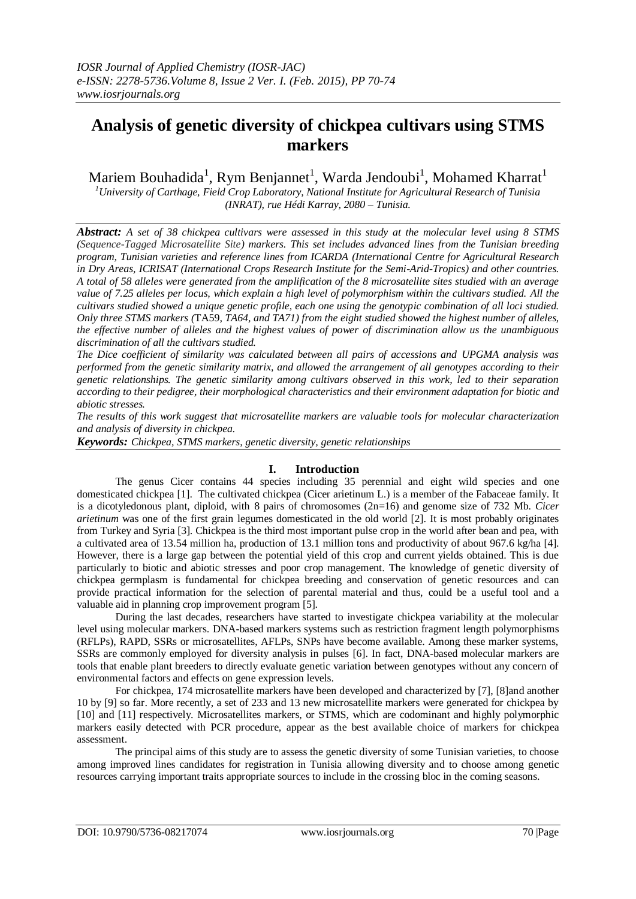# **Analysis of genetic diversity of chickpea cultivars using STMS markers**

Mariem Bouhadida $^1$ , Rym Benjannet $^1$ , Warda Jendoubi $^1$ , Mohamed Kharrat $^1$ 

*<sup>1</sup>University of Carthage, Field Crop Laboratory, National Institute for Agricultural Research of Tunisia (INRAT), rue Hédi Karray, 2080 – Tunisia.*

*Abstract: A set of 38 chickpea cultivars were assessed in this study at the molecular level using 8 STMS (Sequence-Tagged Microsatellite Site) markers. This set includes advanced lines from the Tunisian breeding program, Tunisian varieties and reference lines from ICARDA (International Centre for Agricultural Research in Dry Areas, ICRISAT (International Crops Research Institute for the Semi-Arid-Tropics) and other countries. A total of 58 alleles were generated from the amplification of the 8 microsatellite sites studied with an average value of 7.25 alleles per locus, which explain a high level of polymorphism within the cultivars studied. All the cultivars studied showed a unique genetic profile, each one using the genotypic combination of all loci studied. Only three STMS markers (*TA59*, TA64, and TA71) from the eight studied showed the highest number of alleles, the effective number of alleles and the highest values of power of discrimination allow us the unambiguous discrimination of all the cultivars studied.*

*The Dice coefficient of similarity was calculated between all pairs of accessions and UPGMA analysis was performed from the genetic similarity matrix, and allowed the arrangement of all genotypes according to their genetic relationships. The genetic similarity among cultivars observed in this work, led to their separation according to their pedigree, their morphological characteristics and their environment adaptation for biotic and abiotic stresses.*

*The results of this work suggest that microsatellite markers are valuable tools for molecular characterization and analysis of diversity in chickpea.*

*Keywords: Chickpea, STMS markers, genetic diversity, genetic relationships*

# **I. Introduction**

The genus Cicer contains 44 species including 35 perennial and eight wild species and one domesticated chickpea [1]. The cultivated chickpea (Cicer arietinum L.) is a member of the Fabaceae family. It is a dicotyledonous plant, diploid, with 8 pairs of chromosomes (2n=16) and genome size of 732 Mb. *Cicer arietinum* was one of the first grain legumes domesticated in the old world [2]. It is most probably originates from Turkey and Syria [3]. Chickpea is the third most important pulse crop in the world after bean and pea, with a cultivated area of 13.54 million ha, production of 13.1 million tons and productivity of about 967.6 kg/ha [4]. However, there is a large gap between the potential yield of this crop and current yields obtained. This is due particularly to biotic and abiotic stresses and poor crop management. The knowledge of genetic diversity of chickpea germplasm is fundamental for chickpea breeding and conservation of genetic resources and can provide practical information for the selection of parental material and thus, could be a useful tool and a valuable aid in planning crop improvement program [5].

During the last decades, researchers have started to investigate chickpea variability at the molecular level using molecular markers. DNA-based markers systems such as restriction fragment length polymorphisms (RFLPs), RAPD, SSRs or microsatellites, AFLPs, SNPs have become available. Among these marker systems, SSRs are commonly employed for diversity analysis in pulses [6]. In fact, DNA-based molecular markers are tools that enable plant breeders to directly evaluate genetic variation between genotypes without any concern of environmental factors and effects on gene expression levels.

For chickpea, 174 microsatellite markers have been developed and characterized by [7], [8]and another 10 by [9] so far. More recently, a set of 233 and 13 new microsatellite markers were generated for chickpea by [10] and [11] respectively. Microsatellites markers, or STMS, which are codominant and highly polymorphic markers easily detected with PCR procedure, appear as the best available choice of markers for chickpea assessment.

The principal aims of this study are to assess the genetic diversity of some Tunisian varieties, to choose among improved lines candidates for registration in Tunisia allowing diversity and to choose among genetic resources carrying important traits appropriate sources to include in the crossing bloc in the coming seasons.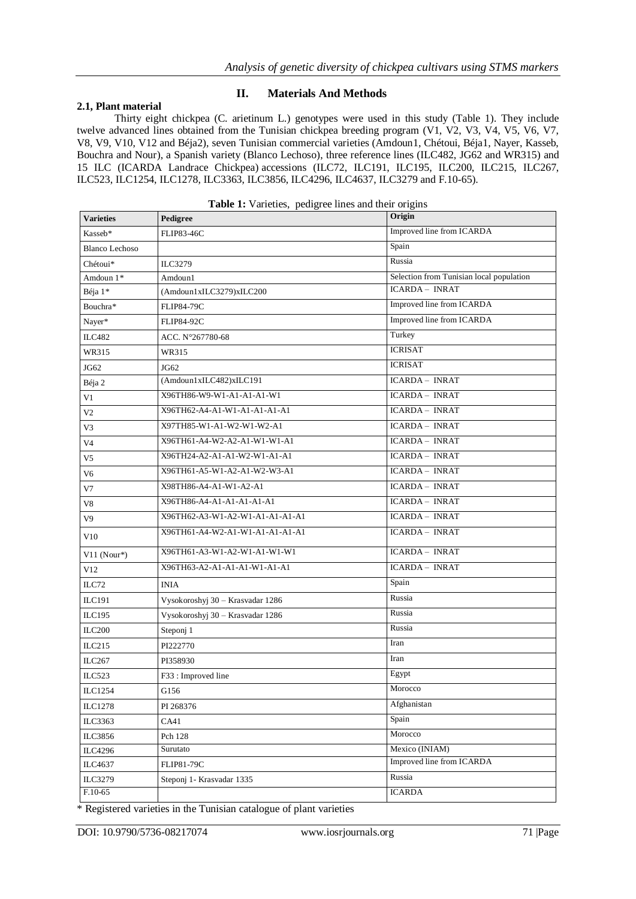## **2.1, Plant material**

# **II. Materials And Methods**

Thirty eight chickpea (C. arietinum L.) genotypes were used in this study (Table 1). They include twelve advanced lines obtained from the Tunisian chickpea breeding program (V1, V2, V3, V4, V5, V6, V7, V8, V9, V10, V12 and Béja2), seven Tunisian commercial varieties (Amdoun1, Chétoui, Béja1, Nayer, Kasseb, Bouchra and Nour), a Spanish variety (Blanco Lechoso), three reference lines (ILC482, JG62 and WR315) and 15 ILC (ICARDA Landrace Chickpea) accessions (ILC72, ILC191, ILC195, ILC200, ILC215, ILC267, ILC523, ILC1254, ILC1278, ILC3363, ILC3856, ILC4296, ILC4637, ILC3279 and F.10-65).

| <b>Varieties</b>      | Pedigree                         | Origin                                   |
|-----------------------|----------------------------------|------------------------------------------|
| Kasseb*               | <b>FLIP83-46C</b>                | Improved line from ICARDA                |
| <b>Blanco Lechoso</b> |                                  | Spain                                    |
| Chétoui*              | ILC3279                          | Russia                                   |
| Amdoun 1*             | Amdoun1                          | Selection from Tunisian local population |
| Béja 1*               | (Amdoun1xILC3279)xILC200         | <b>ICARDA - INRAT</b>                    |
| Bouchra*              | <b>FLIP84-79C</b>                | Improved line from ICARDA                |
| Nayer*                | <b>FLIP84-92C</b>                | Improved line from ICARDA                |
| <b>ILC482</b>         | ACC. N°267780-68                 | Turkey                                   |
| WR315                 | WR315                            | <b>ICRISAT</b>                           |
| JG62                  | JG62                             | <b>ICRISAT</b>                           |
| Béja 2                | (Amdoun1xILC482)xILC191          | <b>ICARDA - INRAT</b>                    |
| V1                    | X96TH86-W9-W1-A1-A1-A1-W1        | <b>ICARDA - INRAT</b>                    |
| V <sub>2</sub>        | X96TH62-A4-A1-W1-A1-A1-A1-A1     | <b>ICARDA - INRAT</b>                    |
| V3                    | X97TH85-W1-A1-W2-W1-W2-A1        | <b>ICARDA - INRAT</b>                    |
| V4                    | X96TH61-A4-W2-A2-A1-W1-W1-A1     | <b>ICARDA - INRAT</b>                    |
| V5                    | X96TH24-A2-A1-A1-W2-W1-A1-A1     | <b>ICARDA - INRAT</b>                    |
| V6                    | X96TH61-A5-W1-A2-A1-W2-W3-A1     | <b>ICARDA - INRAT</b>                    |
| V7                    | X98TH86-A4-A1-W1-A2-A1           | <b>ICARDA - INRAT</b>                    |
| V8                    | X96TH86-A4-A1-A1-A1-A1-A1        | <b>ICARDA - INRAT</b>                    |
| V9                    | X96TH62-A3-W1-A2-W1-A1-A1-A1-A1  | <b>ICARDA - INRAT</b>                    |
| V10                   | X96TH61-A4-W2-A1-W1-A1-A1-A1-A1  | <b>ICARDA - INRAT</b>                    |
| $V11$ (Nour*)         | X96TH61-A3-W1-A2-W1-A1-W1-W1     | <b>ICARDA - INRAT</b>                    |
| V12                   | X96TH63-A2-A1-A1-A1-W1-A1-A1     | <b>ICARDA - INRAT</b>                    |
| ILC72                 | INIA                             | Spain                                    |
| ILC191                | Vysokoroshyj 30 - Krasvadar 1286 | Russia                                   |
| ILC195                | Vysokoroshyj 30 - Krasvadar 1286 | Russia                                   |
| <b>ILC200</b>         | Steponj 1                        | Russia                                   |
| ILC215                | PI222770                         | Iran                                     |
| ILC267                | PI358930                         | Iran                                     |
| ILC523                | F33: Improved line               | Egypt                                    |
| ILC1254               | G156                             | Morocco                                  |
| <b>ILC1278</b>        | PI 268376                        | Afghanistan                              |
| ILC3363               | CA41                             | Spain                                    |
| ILC3856               | Pch 128                          | Morocco                                  |
| <b>ILC4296</b>        | Surutato                         | Mexico (INIAM)                           |
| ILC4637               | <b>FLIP81-79C</b>                | Improved line from ICARDA                |
| ILC3279               | Steponj 1 - Krasvadar 1335       | Russia                                   |
| F.10-65               |                                  | <b>ICARDA</b>                            |

\* Registered varieties in the Tunisian catalogue of plant varieties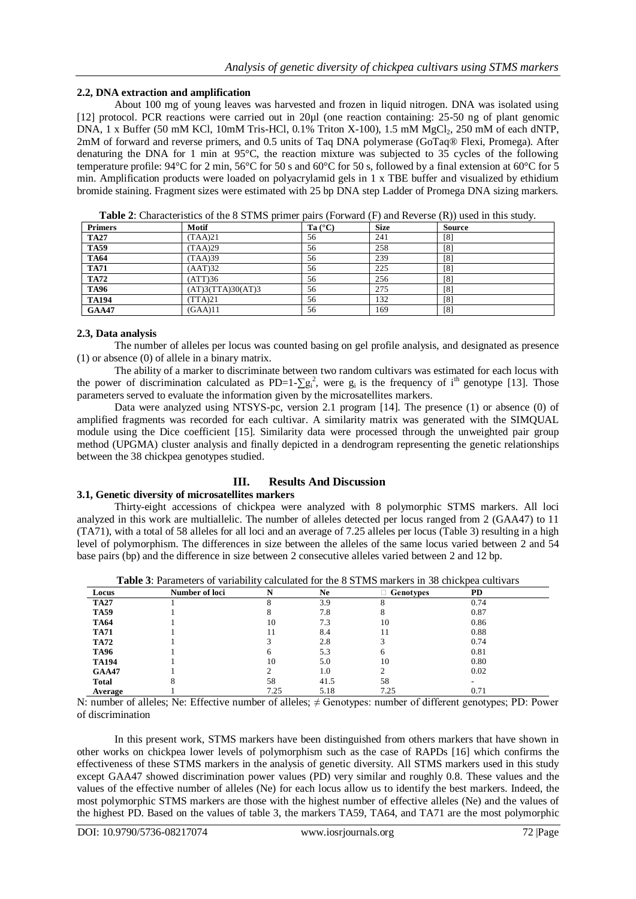## **2.2, DNA extraction and amplification**

About 100 mg of young leaves was harvested and frozen in liquid nitrogen. DNA was isolated using [12] protocol. PCR reactions were carried out in 20µl (one reaction containing: 25-50 ng of plant genomic DNA,  $1 \times$  Buffer (50 mM KCl, 10mM Tris-HCl, 0.1% Triton X-100), 1.5 mM MgCl<sub>2</sub>, 250 mM of each dNTP, 2mM of forward and reverse primers, and 0.5 units of Taq DNA polymerase (GoTaq® Flexi, Promega). After denaturing the DNA for 1 min at 95°C, the reaction mixture was subjected to 35 cycles of the following temperature profile: 94°C for 2 min, 56°C for 50 s and 60°C for 50 s, followed by a final extension at 60°C for 5 min. Amplification products were loaded on polyacrylamid gels in 1 x TBE buffer and visualized by ethidium bromide staining. Fragment sizes were estimated with 25 bp DNA step Ladder of Promega DNA sizing markers.

| <b>THOICE.</b> Characteristics of the $\sigma$ DTTMD primer pairs (1 of ward (1) and recycled (1)) ascent this state). |                   |                  |             |               |
|------------------------------------------------------------------------------------------------------------------------|-------------------|------------------|-------------|---------------|
| <b>Primers</b>                                                                                                         | Motif             | Ta $(^{\circ}C)$ | <b>Size</b> | <b>Source</b> |
| <b>TA27</b>                                                                                                            | (TAA)21           | 56               | 241         | [8]           |
| <b>TA59</b>                                                                                                            | (TAA)29           | 56               | 258         | $^{[8]}$      |
| <b>TA64</b>                                                                                                            | (TAA)39           | 56               | 239         | $^{[8]}$      |
| <b>TA71</b>                                                                                                            | (AAT)32           | 56               | 225         | $^{[8]}$      |
| <b>TA72</b>                                                                                                            | (ATT)36           | 56               | 256         | $^{[8]}$      |
| <b>TA96</b>                                                                                                            | (AT)3(TTA)30(AT)3 | 56               | 275         | $^{[8]}$      |
| <b>TA194</b>                                                                                                           | (TTA)21           | 56               | 132         | [8]           |
| <b>GAA47</b>                                                                                                           | (GAA)11           | 56               | 169         | [8]           |

**Table 2**: Characteristics of the 8 STMS primer pairs (Forward (F) and Reverse (R)) used in this study.

### **2.3, Data analysis**

The number of alleles per locus was counted basing on gel profile analysis, and designated as presence (1) or absence (0) of allele in a binary matrix.

The ability of a marker to discriminate between two random cultivars was estimated for each locus with the power of discrimination calculated as PD=1- $\sum g_i^2$ , were  $g_i$  is the frequency of i<sup>th</sup> genotype [13]. Those parameters served to evaluate the information given by the microsatellites markers.

Data were analyzed using NTSYS-pc, version 2.1 program [14]. The presence (1) or absence (0) of amplified fragments was recorded for each cultivar. A similarity matrix was generated with the SIMQUAL module using the Dice coefficient [15]. Similarity data were processed through the unweighted pair group method (UPGMA) cluster analysis and finally depicted in a dendrogram representing the genetic relationships between the 38 chickpea genotypes studied.

# **III. Results And Discussion**

# **3.1, Genetic diversity of microsatellites markers**

Thirty-eight accessions of chickpea were analyzed with 8 polymorphic STMS markers. All loci analyzed in this work are multiallelic. The number of alleles detected per locus ranged from 2 (GAA47) to 11 (TA71), with a total of 58 alleles for all loci and an average of 7.25 alleles per locus (Table 3) resulting in a high level of polymorphism. The differences in size between the alleles of the same locus varied between 2 and 54 base pairs (bp) and the difference in size between 2 consecutive alleles varied between 2 and 12 bp.

| Locus        | Number of loci |      | Ne   | $\Box$ Genotypes | <b>PD</b> |  |
|--------------|----------------|------|------|------------------|-----------|--|
| <b>TA27</b>  |                |      | 3.9  |                  | 0.74      |  |
| <b>TA59</b>  |                |      | 7.8  | 8                | 0.87      |  |
| <b>TA64</b>  |                | 10   | 7.3  | 10               | 0.86      |  |
| <b>TA71</b>  |                |      | 8.4  | 11               | 0.88      |  |
| <b>TA72</b>  |                |      | 2.8  |                  | 0.74      |  |
| <b>TA96</b>  |                | h    | 5.3  | <sub>(</sub>     | 0.81      |  |
| <b>TA194</b> |                | 10   | 5.0  | 10               | 0.80      |  |
| <b>GAA47</b> |                |      | 1.0  | $\mathcal{D}$    | 0.02      |  |
| <b>Total</b> | 8              | 58   | 41.5 | 58               |           |  |
| Average      |                | 7.25 | 5.18 | 7.25             | 0.71      |  |

**Table 3**: Parameters of variability calculated for the 8 STMS markers in 38 chickpea cultivars

N: number of alleles; Ne: Effective number of alleles; ≠ Genotypes: number of different genotypes; PD: Power of discrimination

In this present work, STMS markers have been distinguished from others markers that have shown in other works on chickpea lower levels of polymorphism such as the case of RAPDs [16] which confirms the effectiveness of these STMS markers in the analysis of genetic diversity. All STMS markers used in this study except GAA47 showed discrimination power values (PD) very similar and roughly 0.8. These values and the values of the effective number of alleles (Ne) for each locus allow us to identify the best markers. Indeed, the most polymorphic STMS markers are those with the highest number of effective alleles (Ne) and the values of the highest PD. Based on the values of table 3, the markers TA59, TA64, and TA71 are the most polymorphic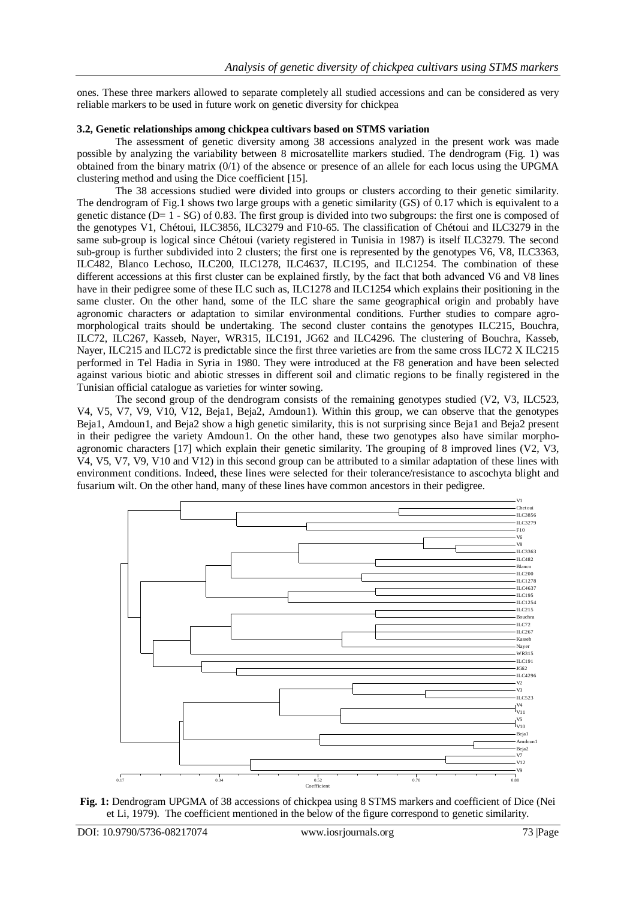ones. These three markers allowed to separate completely all studied accessions and can be considered as very reliable markers to be used in future work on genetic diversity for chickpea

# **3.2, Genetic relationships among chickpea cultivars based on STMS variation**

The assessment of genetic diversity among 38 accessions analyzed in the present work was made possible by analyzing the variability between 8 microsatellite markers studied. The dendrogram (Fig. 1) was obtained from the binary matrix (0/1) of the absence or presence of an allele for each locus using the UPGMA clustering method and using the Dice coefficient [15].

The 38 accessions studied were divided into groups or clusters according to their genetic similarity. The dendrogram of Fig.1 shows two large groups with a genetic similarity (GS) of 0.17 which is equivalent to a genetic distance  $(D= 1 - SG)$  of 0.83. The first group is divided into two subgroups: the first one is composed of the genotypes V1, Chétoui, ILC3856, ILC3279 and F10-65. The classification of Chétoui and ILC3279 in the same sub-group is logical since Chétoui (variety registered in Tunisia in 1987) is itself ILC3279. The second sub-group is further subdivided into 2 clusters; the first one is represented by the genotypes V6, V8, ILC3363, ILC482, Blanco Lechoso, ILC200, ILC1278, ILC4637, ILC195, and ILC1254. The combination of these different accessions at this first cluster can be explained firstly, by the fact that both advanced V6 and V8 lines have in their pedigree some of these ILC such as, ILC1278 and ILC1254 which explains their positioning in the same cluster. On the other hand, some of the ILC share the same geographical origin and probably have agronomic characters or adaptation to similar environmental conditions. Further studies to compare agromorphological traits should be undertaking. The second cluster contains the genotypes ILC215, Bouchra, ILC72, ILC267, Kasseb, Nayer, WR315, ILC191, JG62 and ILC4296. The clustering of Bouchra, Kasseb, Nayer, ILC215 and ILC72 is predictable since the first three varieties are from the same cross ILC72 X ILC215 performed in Tel Hadia in Syria in 1980. They were introduced at the F8 generation and have been selected against various biotic and abiotic stresses in different soil and climatic regions to be finally registered in the Tunisian official catalogue as varieties for winter sowing.

The second group of the dendrogram consists of the remaining genotypes studied (V2, V3, ILC523, V4, V5, V7, V9, V10, V12, Beja1, Beja2, Amdoun1). Within this group, we can observe that the genotypes Beja1, Amdoun1, and Beja2 show a high genetic similarity, this is not surprising since Beja1 and Beja2 present in their pedigree the variety Amdoun1. On the other hand, these two genotypes also have similar morphoagronomic characters [17] which explain their genetic similarity. The grouping of 8 improved lines (V2, V3, V4, V5, V7, V9, V10 and V12) in this second group can be attributed to a similar adaptation of these lines with environment conditions. Indeed, these lines were selected for their tolerance/resistance to ascochyta blight and fusarium wilt. On the other hand, many of these lines have common ancestors in their pedigree.